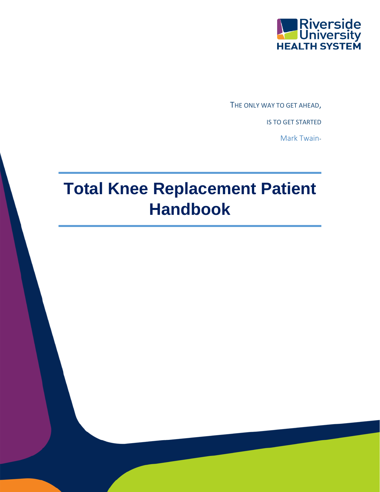

THE ONLY WAY TO GET AHEAD,

IS TO GET STARTED

Mark Twain-

# **Total Knee Replacement Patient Handbook**

1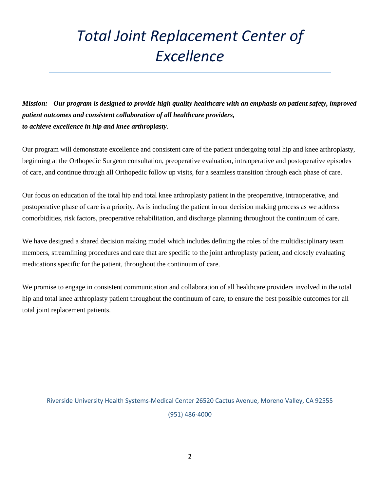# *Total Joint Replacement Center of Excellence*

*Mission: Our program is designed to provide high quality healthcare with an emphasis on patient safety, improved patient outcomes and consistent collaboration of all healthcare providers, to achieve excellence in hip and knee arthroplasty*.

Our program will demonstrate excellence and consistent care of the patient undergoing total hip and knee arthroplasty, beginning at the Orthopedic Surgeon consultation, preoperative evaluation, intraoperative and postoperative episodes of care, and continue through all Orthopedic follow up visits, for a seamless transition through each phase of care.

Our focus on education of the total hip and total knee arthroplasty patient in the preoperative, intraoperative, and postoperative phase of care is a priority. As is including the patient in our decision making process as we address comorbidities, risk factors, preoperative rehabilitation, and discharge planning throughout the continuum of care.

We have designed a shared decision making model which includes defining the roles of the multidisciplinary team members, streamlining procedures and care that are specific to the joint arthroplasty patient, and closely evaluating medications specific for the patient, throughout the continuum of care.

We promise to engage in consistent communication and collaboration of all healthcare providers involved in the total hip and total knee arthroplasty patient throughout the continuum of care, to ensure the best possible outcomes for all total joint replacement patients.

Riverside University Health Systems-Medical Center 26520 Cactus Avenue, Moreno Valley, CA 92555 (951) 486-4000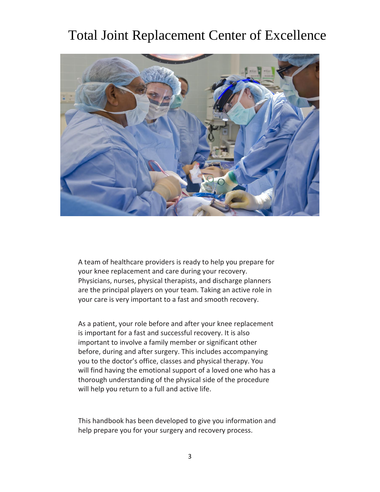### Total Joint Replacement Center of Excellence



A team of healthcare providers is ready to help you prepare for your knee replacement and care during your recovery. Physicians, nurses, physical therapists, and discharge planners are the principal players on your team. Taking an active role in your care is very important to a fast and smooth recovery.

As a patient, your role before and after your knee replacement is important for a fast and successful recovery. It is also important to involve a family member or significant other before, during and after surgery. This includes accompanying you to the doctor's office, classes and physical therapy. You will find having the emotional support of a loved one who has a thorough understanding of the physical side of the procedure will help you return to a full and active life.

This handbook has been developed to give you information and 6B help prepare you for your surgery and recovery process.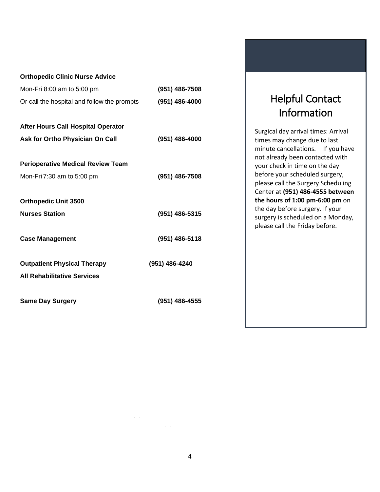| <b>Orthopedic Clinic Nurse Advice</b>       |                |
|---------------------------------------------|----------------|
| Mon-Fri 8:00 am to 5:00 pm                  | (951) 486-7508 |
| Or call the hospital and follow the prompts | (951) 486-4000 |
| After Hours Call Hospital Operator          |                |
| Ask for Ortho Physician On Call             | (951) 486-4000 |
| <b>Perioperative Medical Review Team</b>    |                |
| Mon-Fri 7:30 am to 5:00 pm                  | (951) 486-7508 |
| <b>Orthopedic Unit 3500</b>                 |                |
| <b>Nurses Station</b>                       | (951) 486-5315 |
| <b>Case Management</b>                      | (951) 486-5118 |
| <b>Outpatient Physical Therapy</b>          | (951) 486-4240 |
| <b>All Rehabilitative Services</b>          |                |
| <b>Same Day Surgery</b>                     | (951) 486-4555 |

### Helpful Contact Information

Helpful Contact Information

Surgical day arrival times: Arrival times may change due to last minute cancellations. If you have not already been contacted with your check in time on the day before your scheduled surgery, please call the Surgery Scheduling Center at **(951) 486-4555 between the hours of 1:00 pm-6:00 pm** on the day before surgery. If your surgery is scheduled on a Monday, please call the Friday before.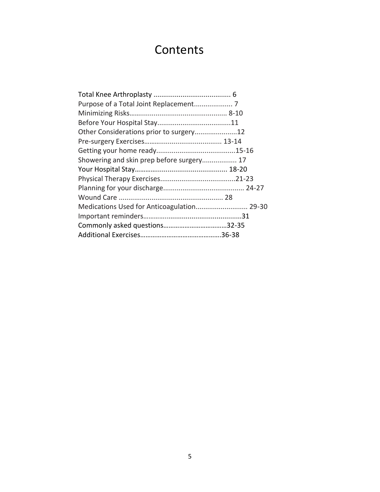## **Contents**

| Other Considerations prior to surgery12    |  |
|--------------------------------------------|--|
|                                            |  |
|                                            |  |
| Showering and skin prep before surgery 17  |  |
|                                            |  |
|                                            |  |
|                                            |  |
|                                            |  |
| Medications Used for Anticoagulation 29-30 |  |
|                                            |  |
|                                            |  |
|                                            |  |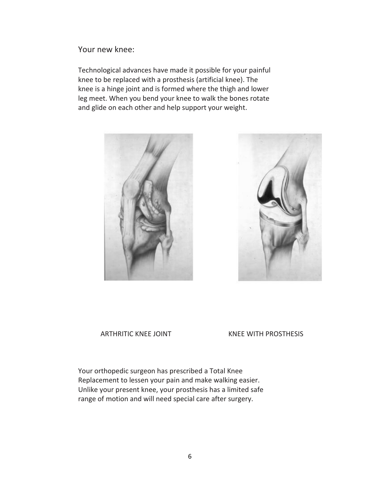Your new knee:

Technological advances have made it possible for your painful knee to be replaced with a prosthesis (artificial knee). The knee is a hinge joint and is formed where the thigh and lower leg meet. When you bend your knee to walk the bones rotate and glide on each other and help support your weight.





#### ARTHRITIC KNEE JOINT KNEE WITH PROSTHESIS

Your orthopedic surgeon has prescribed a Total Knee Replacement to lessen your pain and make walking easier. Unlike your present knee, your prosthesis has a limited safe range of motion and will need special care after surgery.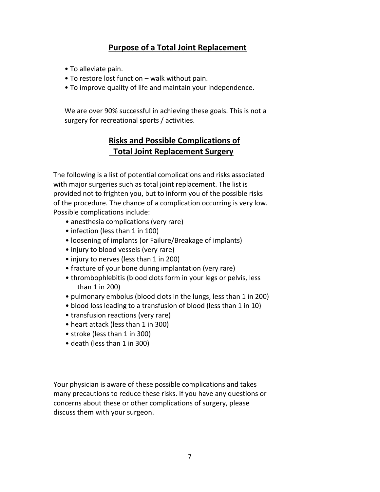#### **Purpose of a Total Joint Replacement**

- To alleviate pain.
- To restore lost function walk without pain.
- To improve quality of life and maintain your independence.

We are over 90% successful in achieving these goals. This is not a surgery for recreational sports / activities.

#### **Risks and Possible Complications of Total Joint Replacement Surgery**

The following is a list of potential complications and risks associated with major surgeries such as total joint replacement. The list is provided not to frighten you, but to inform you of the possible risks of the procedure. The chance of a complication occurring is very low. Possible complications include:

- anesthesia complications (very rare)
- infection (less than 1 in 100)
- loosening of implants (or Failure/Breakage of implants)
- injury to blood vessels (very rare)
- injury to nerves (less than 1 in 200)
- fracture of your bone during implantation (very rare)
- thrombophlebitis (blood clots form in your legs or pelvis, less than 1 in 200)
- pulmonary embolus (blood clots in the lungs, less than 1 in 200)
- blood loss leading to a transfusion of blood (less than 1 in 10)
- transfusion reactions (very rare)
- heart attack (less than 1 in 300)
- stroke (less than 1 in 300)
- death (less than 1 in 300)

Your physician is aware of these possible complications and takes many precautions to reduce these risks. If you have any questions or concerns about these or other complications of surgery, please discuss them with your surgeon.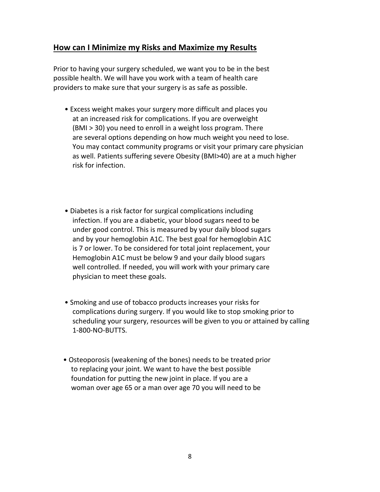#### **How can I Minimize my Risks and Maximize my Results**?

Prior to having your surgery scheduled, we want you to be in the best possible health. We will have you work with a team of health care providers to make sure that your surgery is as safe as possible.

- Excess weight makes your surgery more difficult and places you at an increased risk for complications. If you are overweight (BMI > 30) you need to enroll in a weight loss program. There are several options depending on how much weight you need to lose. You may contact community programs or visit your primary care physician as well. Patients suffering severe Obesity (BMI>40) are at a much higher risk for infection.
- Diabetes is a risk factor for surgical complications including infection. If you are a diabetic, your blood sugars need to be under good control. This is measured by your daily blood sugars and by your hemoglobin A1C. The best goal for hemoglobin A1C is 7 or lower. To be considered for total joint replacement, your Hemoglobin A1C must be below 9 and your daily blood sugars well controlled. If needed, you will work with your primary care physician to meet these goals.
- Smoking and use of tobacco products increases your risks for complications during surgery. If you would like to stop smoking prior to scheduling your surgery, resources will be given to you or attained by calling 1-800-NO-BUTTS.
- Osteoporosis (weakening of the bones) needs to be treated prior to replacing your joint. We want to have the best possible foundation for putting the new joint in place. If you are a woman over age 65 or a man over age 70 you will need to be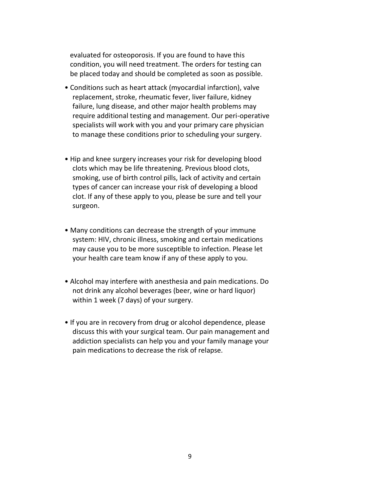evaluated for osteoporosis. If you are found to have this condition, you will need treatment. The orders for testing can be placed today and should be completed as soon as possible.

- Conditions such as heart attack (myocardial infarction), valve replacement, stroke, rheumatic fever, liver failure, kidney failure, lung disease, and other major health problems may require additional testing and management. Our peri-operative specialists will work with you and your primary care physician to manage these conditions prior to scheduling your surgery.
- Hip and knee surgery increases your risk for developing blood clots which may be life threatening. Previous blood clots, smoking, use of birth control pills, lack of activity and certain types of cancer can increase your risk of developing a blood clot. If any of these apply to you, please be sure and tell your surgeon.
- Many conditions can decrease the strength of your immune system: HIV, chronic illness, smoking and certain medications may cause you to be more susceptible to infection. Please let your health care team know if any of these apply to you.
- Alcohol may interfere with anesthesia and pain medications. Do not drink any alcohol beverages (beer, wine or hard liquor) within 1 week (7 days) of your surgery.
- If you are in recovery from drug or alcohol dependence, please discuss this with your surgical team. Our pain management and addiction specialists can help you and your family manage your pain medications to decrease the risk of relapse.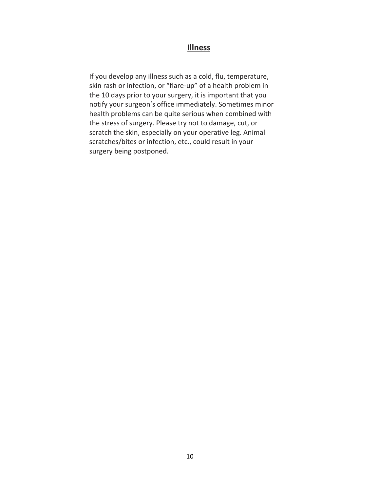#### **Illness**

If you develop any illness such as a cold, flu, temperature, skin rash or infection, or "flare-up" of a health problem in the 10 days prior to your surgery, it is important that you notify your surgeon's office immediately. Sometimes minor health problems can be quite serious when combined with the stress of surgery. Please try not to damage, cut, or scratch the skin, especially on your operative leg. Animal scratches/bites or infection, etc., could result in your surgery being postponed.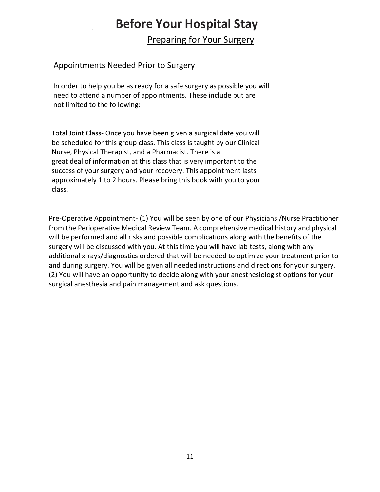### 0B **Before Your Hospital Stay**

Preparing for Your Surgery

#### Appointments Needed Prior to Surgery

In order to help you be as ready for a safe surgery as possible you will need to attend a number of appointments. These include but are not limited to the following:

Total Joint Class- Once you have been given a surgical date you will be scheduled for this group class. This class is taught by our Clinical Nurse, Physical Therapist, and a Pharmacist. There is a great deal of information at this class that is very important to the success of your surgery and your recovery. This appointment lasts approximately 1 to 2 hours. Please bring this book with you to your class.

Pre-Operative Appointment- (1) You will be seen by one of our Physicians /Nurse Practitioner from the Perioperative Medical Review Team. A comprehensive medical history and physical will be performed and all risks and possible complications along with the benefits of the surgery will be discussed with you. At this time you will have lab tests, along with any additional x-rays/diagnostics ordered that will be needed to optimize your treatment prior to and during surgery. You will be given all needed instructions and directions for your surgery. (2) You will have an opportunity to decide along with your anesthesiologist options for your surgical anesthesia and pain management and ask questions.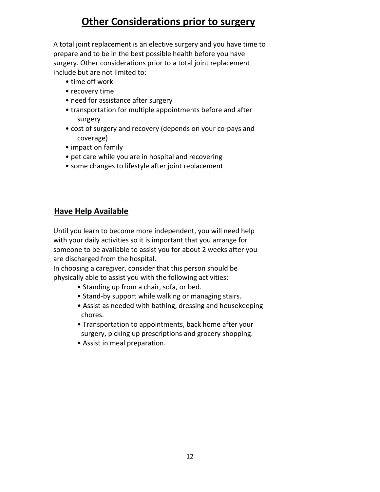### **Other Considerations prior to surgery**

A total joint replacement is an elective surgery and you have time to prepare and to be in the best possible health before you have surgery. Other considerations prior to a total joint replacement include but are not limited to:

- time off work
- recovery time
- need for assistance after surgery
- transportation for multiple appointments before and after surgery
- cost of surgery and recovery (depends on your co-pays and coverage)
- impact on family
- pet care while you are in hospital and recovering
- some changes to lifestyle after joint replacement

#### 3B**Have Help Available**

Until you learn to become more independent, you will need help with your daily activities so it is important that you arrange for someone to be available to assist you for about 2 weeks after you are discharged from the hospital.

In choosing a caregiver, consider that this person should be physically able to assist you with the following activities:

- Standing up from a chair, sofa, or bed.
- Stand-by support while walking or managing stairs.
- Assist as needed with bathing, dressing and housekeeping chores.
- Transportation to appointments, back home after your surgery, picking up prescriptions and grocery shopping.
- Assist in meal preparation.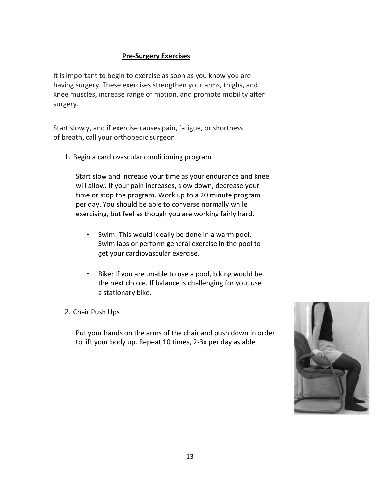#### **Pre-Surgery Exercises**

It is important to begin to exercise as soon as you know you are having surgery. These exercises strengthen your arms, thighs, and knee muscles, increase range of motion, and promote mobility after surgery.

Start slowly, and if exercise causes pain, fatigue, or shortness of breath, call your orthopedic surgeon.

1. Begin a cardiovascular conditioning program

Start slow and increase your time as your endurance and knee will allow. If your pain increases, slow down, decrease your time or stop the program. Work up to a 20 minute program per day. You should be able to converse normally while exercising, but feel as though you are working fairly hard.

- Swim: This would ideally be done in a warm pool. Swim laps or perform general exercise in the pool to get your cardiovascular exercise.
- Bike: If you are unable to use a pool, biking would be the next choice. If balance is challenging for you, use a stationary bike.
- 2. Chair Push Ups

Put your hands on the arms of the chair and push down in order to lift your body up. Repeat 10 times, 2-3x per day as able.

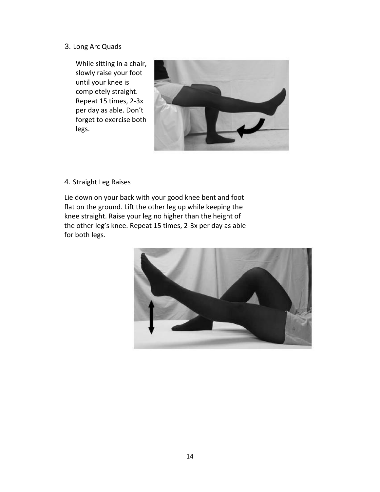#### 3. Long Arc Quads

While sitting in a chair, slowly raise your foot until your knee is completely straight. Repeat 15 times, 2-3x per day as able. Don't forget to exercise both legs.



#### 4. Straight Leg Raises

Lie down on your back with your good knee bent and foot flat on the ground. Lift the other leg up while keeping the knee straight. Raise your leg no higher than the height of the other leg's knee. Repeat 15 times, 2-3x per day as able for both legs.

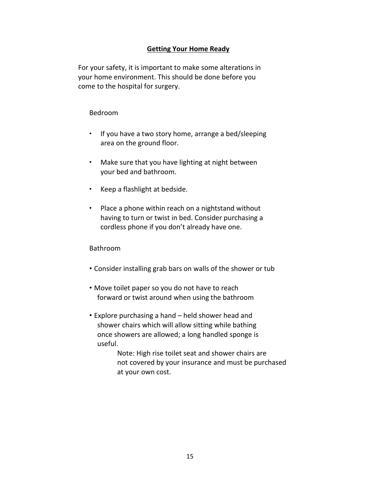#### **Getting Your Home Ready**

For your safety, it is important to make some alterations in your home environment. This should be done before you come to the hospital for surgery.

#### Bedroom

- If you have a two story home, arrange a bed/sleeping area on the ground floor.
- Make sure that you have lighting at night between your bed and bathroom. •
- Keep a flashlight at bedside.
- Place a phone within reach on a nightstand without having to turn or twist in bed. Consider purchasing a cordless phone if you don't already have one. •

#### Bathroom

- Consider installing grab bars on walls of the shower or tub
- Move toilet paper so you do not have to reach forward or twist around when using the bathroom
- Explore purchasing a hand held shower head and shower chairs which will allow sitting while bathing once showers are allowed; a long handled sponge is useful.

 Note: High rise toilet seat and shower chairs are not covered by your insurance and must be purchased at your own cost.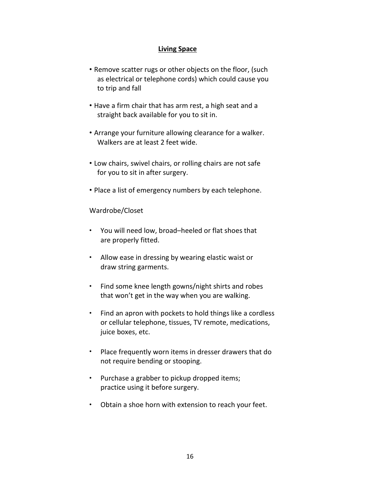#### **Living Space**

- Remove scatter rugs or other objects on the floor, (such as electrical or telephone cords) which could cause you to trip and fall
- Have a firm chair that has arm rest, a high seat and a straight back available for you to sit in.
- Arrange your furniture allowing clearance for a walker. Walkers are at least 2 feet wide.
- Low chairs, swivel chairs, or rolling chairs are not safe for you to sit in after surgery.
- Place a list of emergency numbers by each telephone.

Wardrobe/Closet

- You will need low, broad–heeled or flat shoes that are properly fitted.
- Allow ease in dressing by wearing elastic waist or draw string garments.
- Find some knee length gowns/night shirts and robes that won't get in the way when you are walking. •
- Find an apron with pockets to hold things like a cordless or cellular telephone, tissues, TV remote, medications, juice boxes, etc. •
- Place frequently worn items in dresser drawers that do not require bending or stooping. •
- Purchase a grabber to pickup dropped items; practice using it before surgery. •
- Obtain a shoe horn with extension to reach your feet. •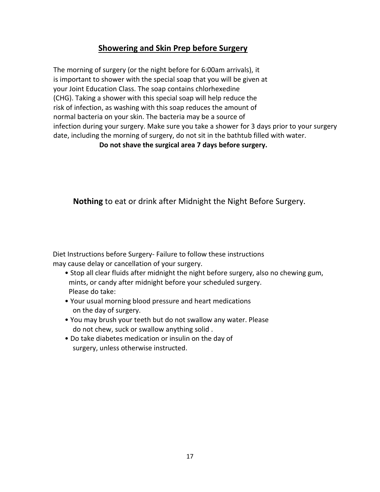#### **Showering and Skin Prep before Surgery**

The morning of surgery (or the night before for 6:00am arrivals), it is important to shower with the special soap that you will be given at your Joint Education Class. The soap contains chlorhexedine (CHG). Taking a shower with this special soap will help reduce the risk of infection, as washing with this soap reduces the amount of normal bacteria on your skin. The bacteria may be a source of infection during your surgery. Make sure you take a shower for 3 days prior to your surgery date, including the morning of surgery, do not sit in the bathtub filled with water.

**Do not shave the surgical area 7 days before surgery.**

**Nothing** to eat or drink after Midnight the Night Before Surgery.

Diet Instructions before Surgery- Failure to follow these instructions may cause delay or cancellation of your surgery.

- Stop all clear fluids after midnight the night before surgery, also no chewing gum, mints, or candy after midnight before your scheduled surgery. Please do take:
- Your usual morning blood pressure and heart medications on the day of surgery.
- You may brush your teeth but do not swallow any water. Please do not chew, suck or swallow anything solid .
- Do take diabetes medication or insulin on the day of surgery, unless otherwise instructed.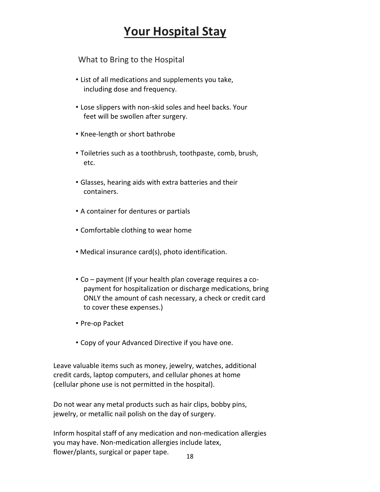### **Your Hospital Stay**

What to Bring to the Hospital

- List of all medications and supplements you take, including dose and frequency.
- Lose slippers with non-skid soles and heel backs. Your feet will be swollen after surgery.
- Knee-length or short bathrobe
- Toiletries such as a toothbrush, toothpaste, comb, brush, etc.
- Glasses, hearing aids with extra batteries and their containers.
- A container for dentures or partials
- Comfortable clothing to wear home
- Medical insurance card(s), photo identification.
- Co payment (If your health plan coverage requires a co payment for hospitalization or discharge medications, bring ONLY the amount of cash necessary, a check or credit card to cover these expenses.)
- Pre-op Packet
- Copy of your Advanced Directive if you have one.

Leave valuable items such as money, jewelry, watches, additional credit cards, laptop computers, and cellular phones at home (cellular phone use is not permitted in the hospital).

Do not wear any metal products such as hair clips, bobby pins, jewelry, or metallic nail polish on the day of surgery.

18 Inform hospital staff of any medication and non-medication allergies you may have. Non-medication allergies include latex, flower/plants, surgical or paper tape.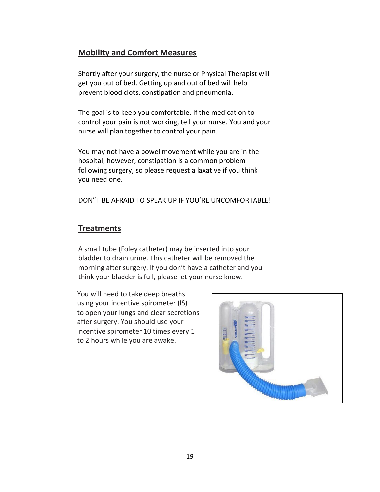#### **Mobility and Comfort Measures**

Shortly after your surgery, the nurse or Physical Therapist will get you out of bed. Getting up and out of bed will help prevent blood clots, constipation and pneumonia.

The goal is to keep you comfortable. If the medication to control your pain is not working, tell your nurse. You and your nurse will plan together to control your pain.

You may not have a bowel movement while you are in the hospital; however, constipation is a common problem following surgery, so please request a laxative if you think you need one.

DON"T BE AFRAID TO SPEAK UP IF YOU'RE UNCOMFORTABLE!

#### **Treatments**

A small tube (Foley catheter) may be inserted into your bladder to drain urine. This catheter will be removed the morning after surgery. If you don't have a catheter and you think your bladder is full, please let your nurse know.

You will need to take deep breaths using your incentive spirometer (IS) to open your lungs and clear secretions after surgery. You should use your incentive spirometer 10 times every 1 to 2 hours while you are awake.

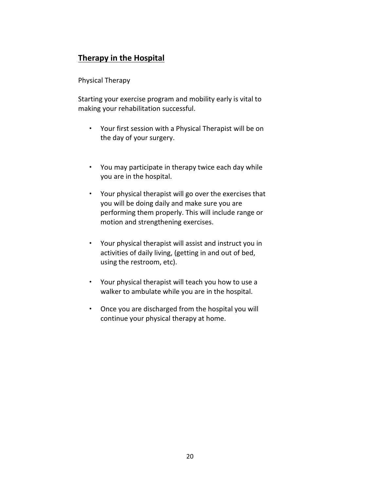### **Therapy in the Hospital**

#### Physical Therapy

Starting your exercise program and mobility early is vital to making your rehabilitation successful.

- Your first session with a Physical Therapist will be on the day of your surgery.
- You may participate in therapy twice each day while you are in the hospital.
- Your physical therapist will go over the exercises that you will be doing daily and make sure you are performing them properly. This will include range or motion and strengthening exercises.
- Your physical therapist will assist and instruct you in activities of daily living, (getting in and out of bed, using the restroom, etc).
- Your physical therapist will teach you how to use a walker to ambulate while you are in the hospital.
- Once you are discharged from the hospital you will •continue your physical therapy at home.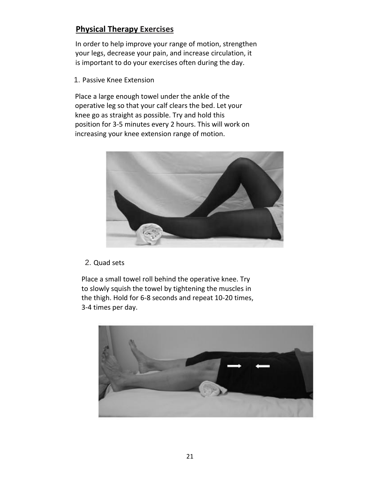#### **Physical Therapy Exercises**

In order to help improve your range of motion, strengthen your legs, decrease your pain, and increase circulation, it is important to do your exercises often during the day.

1. Passive Knee Extension

Place a large enough towel under the ankle of the operative leg so that your calf clears the bed. Let your knee go as straight as possible. Try and hold this position for 3-5 minutes every 2 hours. This will work on increasing your knee extension range of motion.



#### 2. Quad sets

Place a small towel roll behind the operative knee. Try to slowly squish the towel by tightening the muscles in the thigh. Hold for 6-8 seconds and repeat 10-20 times, 3-4 times per day.

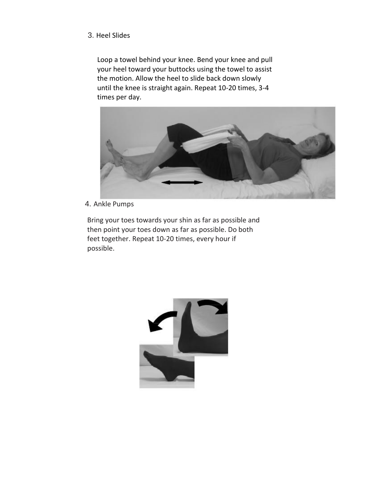#### 3. Heel Slides

Loop a towel behind your knee. Bend your knee and pull your heel toward your buttocks using the towel to assist the motion. Allow the heel to slide back down slowly until the knee is straight again. Repeat 10-20 times, 3-4 times per day.



4. Ankle Pumps

Bring your toes towards your shin as far as possible and then point your toes down as far as possible. Do both feet together. Repeat 10-20 times, every hour if possible.

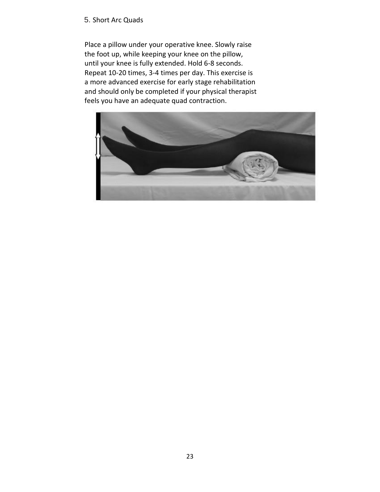#### 5. Short Arc Quads

Place a pillow under your operative knee. Slowly raise the foot up, while keeping your knee on the pillow, until your knee is fully extended. Hold 6-8 seconds. Repeat 10-20 times, 3-4 times per day. This exercise is a more advanced exercise for early stage rehabilitation and should only be completed if your physical therapist feels you have an adequate quad contraction.

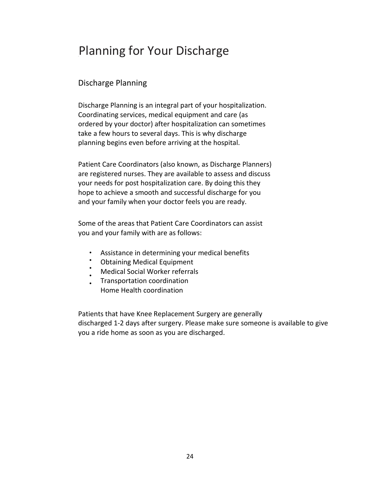### Planning for Your Discharge

#### Discharge Planning

Discharge Planning is an integral part of your hospitalization. Coordinating services, medical equipment and care (as ordered by your doctor) after hospitalization can sometimes take a few hours to several days. This is why discharge planning begins even before arriving at the hospital.

Patient Care Coordinators (also known, as Discharge Planners) are registered nurses. They are available to assess and discuss your needs for post hospitalization care. By doing this they hope to achieve a smooth and successful discharge for you and your family when your doctor feels you are ready.

Some of the areas that Patient Care Coordinators can assist you and your family with are as follows:

- Assistance in determining your medical benefits
- Obtaining Medical Equipment
- Medical Social Worker referrals
- • Transportation coordination Home Health coordination

Patients that have Knee Replacement Surgery are generally discharged 1-2 days after surgery. Please make sure someone is available to give you a ride home as soon as you are discharged.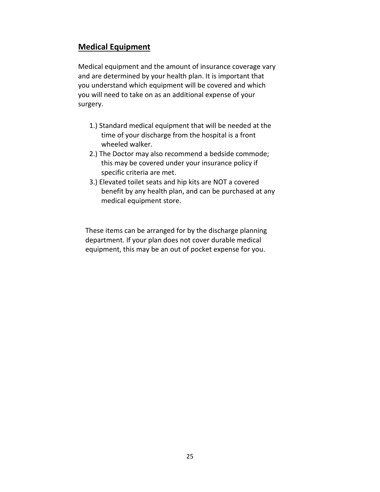#### **Medical Equipment**

Medical equipment and the amount of insurance coverage vary and are determined by your health plan. It is important that you understand which equipment will be covered and which you will need to take on as an additional expense of your surgery.

- 1.) Standard medical equipment that will be needed at the time of your discharge from the hospital is a front wheeled walker.
- 2.) The Doctor may also recommend a bedside commode; this may be covered under your insurance policy if specific criteria are met.
- 3.) Elevated toilet seats and hip kits are NOT a covered benefit by any health plan, and can be purchased at any medical equipment store.

These items can be arranged for by the discharge planning department. If your plan does not cover durable medical equipment, this may be an out of pocket expense for you.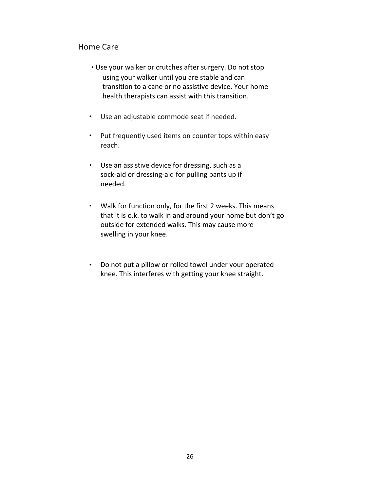#### Home Care

- Use your walker or crutches after surgery. Do not stop using your walker until you are stable and can transition to a cane or no assistive device. Your home health therapists can assist with this transition.
- Use an adjustable commode seat if needed.
- Put frequently used items on counter tops within easy reach.
- Use an assistive device for dressing, such as a sock-aid or dressing-aid for pulling pants up if needed.
- Walk for function only, for the first 2 weeks. This means that it is o.k. to walk in and around your home but don't go outside for extended walks. This may cause more swelling in your knee.
- Do not put a pillow or rolled towel under your operated •knee. This interferes with getting your knee straight.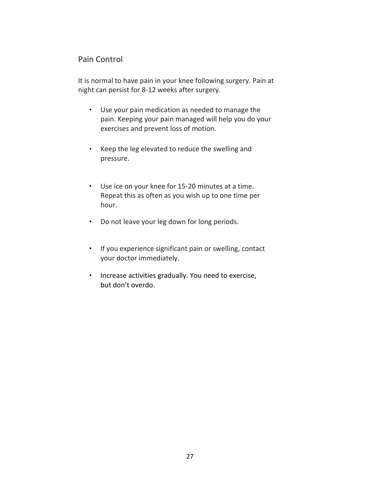#### Pain Control

It is normal to have pain in your knee following surgery. Pain at night can persist for 8-12 weeks after surgery.

- Use your pain medication as needed to manage the pain. Keeping your pain managed will help you do your exercises and prevent loss of motion.
- Keep the leg elevated to reduce the swelling and pressure.
- Use ice on your knee for 15-20 minutes at a time. Repeat this as often as you wish up to one time per hour.
- Do not leave your leg down for long periods.
- If you experience significant pain or swelling, contact your doctor immediately.
- Increase activities gradually. You need to exercise, but don't overdo.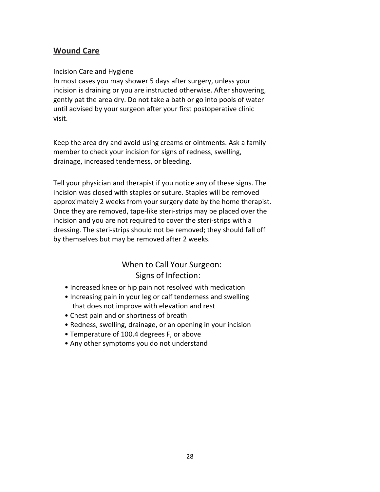#### **Wound Care**

#### Incision Care and Hygiene

In most cases you may shower 5 days after surgery, unless your incision is draining or you are instructed otherwise. After showering, gently pat the area dry. Do not take a bath or go into pools of water until advised by your surgeon after your first postoperative clinic visit.

Keep the area dry and avoid using creams or ointments. Ask a family member to check your incision for signs of redness, swelling, drainage, increased tenderness, or bleeding.

Tell your physician and therapist if you notice any of these signs. The incision was closed with staples or suture. Staples will be removed approximately 2 weeks from your surgery date by the home therapist. Once they are removed, tape-like steri-strips may be placed over the incision and you are not required to cover the steri-strips with a dressing. The steri-strips should not be removed; they should fall off by themselves but may be removed after 2 weeks.

#### When to Call Your Surgeon: Signs of Infection:

- Increased knee or hip pain not resolved with medication
- Increasing pain in your leg or calf tenderness and swelling that does not improve with elevation and rest
- Chest pain and or shortness of breath
- Redness, swelling, drainage, or an opening in your incision
- Temperature of 100.4 degrees F, or above
- Any other symptoms you do not understand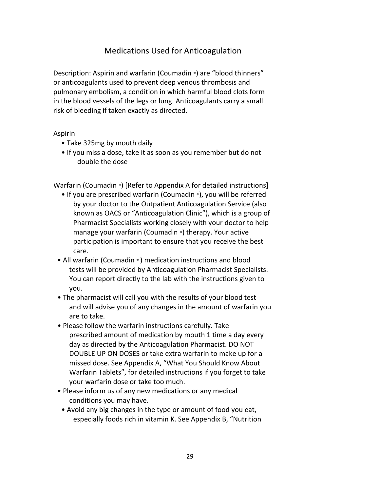#### Medications Used for Anticoagulation

Description: Aspirin and warfarin (Coumadin ®) are "blood thinners" or anticoagulants used to prevent deep venous thrombosis and pulmonary embolism, a condition in which harmful blood clots form in the blood vessels of the legs or lung. Anticoagulants carry a small risk of bleeding if taken exactly as directed.

#### Aspirin

- Take 325mg by mouth daily
- If you miss a dose, take it as soon as you remember but do not double the dose

Warfarin (Coumadin ®) [Refer to Appendix A for detailed instructions]

- If you are prescribed warfarin (Coumadin ®), you will be referred by your doctor to the Outpatient Anticoagulation Service (also known as OACS or "Anticoagulation Clinic"), which is a group of Pharmacist Specialists working closely with your doctor to help manage your warfarin (Coumadin ®) therapy. Your active participation is important to ensure that you receive the best care.
- All warfarin (Coumadin ® ) medication instructions and blood tests will be provided by Anticoagulation Pharmacist Specialists. You can report directly to the lab with the instructions given to you.
- The pharmacist will call you with the results of your blood test and will advise you of any changes in the amount of warfarin you are to take.
- Please follow the warfarin instructions carefully. Take prescribed amount of medication by mouth 1 time a day every day as directed by the Anticoagulation Pharmacist. DO NOT DOUBLE UP ON DOSES or take extra warfarin to make up for a missed dose. See Appendix A, "What You Should Know About Warfarin Tablets", for detailed instructions if you forget to take your warfarin dose or take too much.
- Please inform us of any new medications or any medical conditions you may have.
- Avoid any big changes in the type or amount of food you eat, especially foods rich in vitamin K. See Appendix B, "Nutrition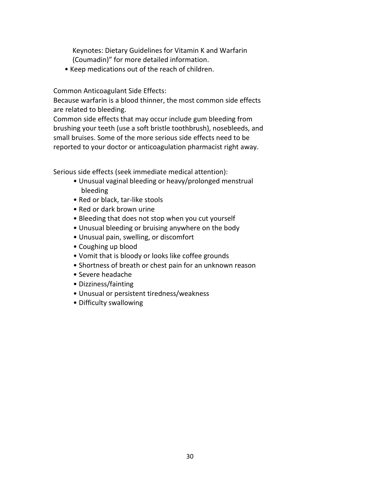Keynotes: Dietary Guidelines for Vitamin K and Warfarin (Coumadin)" for more detailed information.

• Keep medications out of the reach of children.

Common Anticoagulant Side Effects:

Because warfarin is a blood thinner, the most common side effects are related to bleeding.

Common side effects that may occur include gum bleeding from brushing your teeth (use a soft bristle toothbrush), nosebleeds, and small bruises. Some of the more serious side effects need to be reported to your doctor or anticoagulation pharmacist right away.

Serious side effects (seek immediate medical attention):

- Unusual vaginal bleeding or heavy/prolonged menstrual bleeding
- Red or black, tar-like stools
- Red or dark brown urine
- Bleeding that does not stop when you cut yourself
- Unusual bleeding or bruising anywhere on the body
- Unusual pain, swelling, or discomfort
- Coughing up blood
- Vomit that is bloody or looks like coffee grounds
- Shortness of breath or chest pain for an unknown reason
- Severe headache
- Dizziness/fainting
- Unusual or persistent tiredness/weakness
- Difficulty swallowing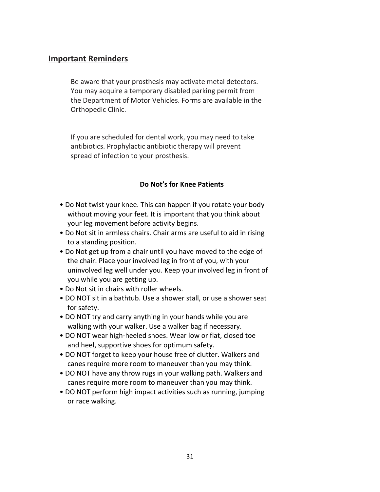#### **Important Reminders**

Be aware that your prosthesis may activate metal detectors. You may acquire a temporary disabled parking permit from the Department of Motor Vehicles. Forms are available in the Orthopedic Clinic.

If you are scheduled for dental work, you may need to take antibiotics. Prophylactic antibiotic therapy will prevent spread of infection to your prosthesis.

#### **Do Not's for Knee Patients**

- Do Not twist your knee. This can happen if you rotate your body without moving your feet. It is important that you think about your leg movement before activity begins.
- Do Not sit in armless chairs. Chair arms are useful to aid in rising to a standing position.
- Do Not get up from a chair until you have moved to the edge of the chair. Place your involved leg in front of you, with your uninvolved leg well under you. Keep your involved leg in front of you while you are getting up.
- Do Not sit in chairs with roller wheels.
- DO NOT sit in a bathtub. Use a shower stall, or use a shower seat for safety.
- DO NOT try and carry anything in your hands while you are walking with your walker. Use a walker bag if necessary.
- DO NOT wear high-heeled shoes. Wear low or flat, closed toe and heel, supportive shoes for optimum safety.
- DO NOT forget to keep your house free of clutter. Walkers and canes require more room to maneuver than you may think.
- DO NOT have any throw rugs in your walking path. Walkers and canes require more room to maneuver than you may think.
- DO NOT perform high impact activities such as running, jumping or race walking.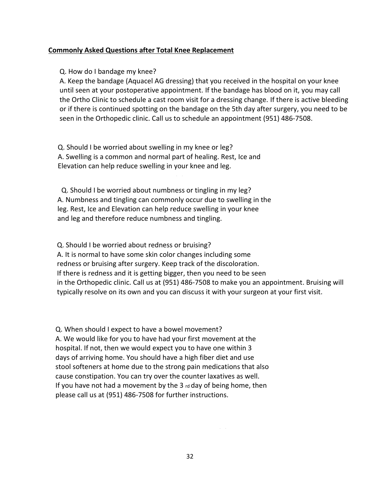#### **Commonly Asked Questions after Total Knee Replacement**

Q. How do I bandage my knee?

A. Keep the bandage (Aquacel AG dressing) that you received in the hospital on your knee until seen at your postoperative appointment. If the bandage has blood on it, you may call the Ortho Clinic to schedule a cast room visit for a dressing change. If there is active bleeding or if there is continued spotting on the bandage on the 5th day after surgery, you need to be seen in the Orthopedic clinic. Call us to schedule an appointment (951) 486-7508.

Q. Should I be worried about swelling in my knee or leg? A. Swelling is a common and normal part of healing. Rest, Ice and Elevation can help reduce swelling in your knee and leg.

Q. Should I be worried about numbness or tingling in my leg? A. Numbness and tingling can commonly occur due to swelling in the leg. Rest, Ice and Elevation can help reduce swelling in your knee and leg and therefore reduce numbness and tingling.

Q. Should I be worried about redness or bruising? A. It is normal to have some skin color changes including some redness or bruising after surgery. Keep track of the discoloration. If there is redness and it is getting bigger, then you need to be seen in the Orthopedic clinic. Call us at (951) 486-7508 to make you an appointment. Bruising will typically resolve on its own and you can discuss it with your surgeon at your first visit.

Q. When should I expect to have a bowel movement? A. We would like for you to have had your first movement at the hospital. If not, then we would expect you to have one within 3 days of arriving home. You should have a high fiber diet and use stool softeners at home due to the strong pain medications that also cause constipation. You can try over the counter laxatives as well. If you have not had a movement by the 3  $rd$  day of being home, then please call us at (951) 486-7508 for further instructions.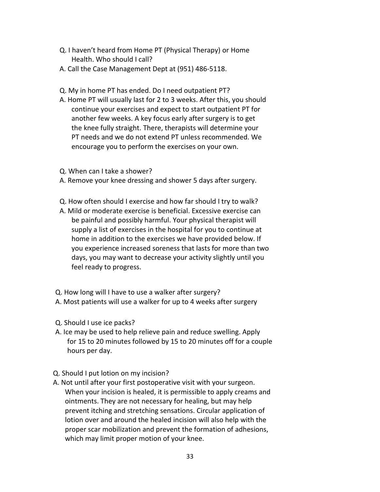- Q. I haven't heard from Home PT (Physical Therapy) or Home Health. Who should I call?
- A. Call the Case Management Dept at (951) 486-5118.
- Q. My in home PT has ended. Do I need outpatient PT?
- A. Home PT will usually last for 2 to 3 weeks. After this, you should continue your exercises and expect to start outpatient PT for another few weeks. A key focus early after surgery is to get the knee fully straight. There, therapists will determine your PT needs and we do not extend PT unless recommended. We encourage you to perform the exercises on your own.
- Q. When can I take a shower?
- A. Remove your knee dressing and shower 5 days after surgery.
- Q. How often should I exercise and how far should I try to walk?
- A. Mild or moderate exercise is beneficial. Excessive exercise can be painful and possibly harmful. Your physical therapist will supply a list of exercises in the hospital for you to continue at home in addition to the exercises we have provided below. If you experience increased soreness that lasts for more than two days, you may want to decrease your activity slightly until you feel ready to progress.
- Q. How long will I have to use a walker after surgery? A. Most patients will use a walker for up to 4 weeks after surgery
- Q. Should I use ice packs?
- A. Ice may be used to help relieve pain and reduce swelling. Apply for 15 to 20 minutes followed by 15 to 20 minutes off for a couple hours per day.
- Q. Should I put lotion on my incision?
- A. Not until after your first postoperative visit with your surgeon. When your incision is healed, it is permissible to apply creams and ointments. They are not necessary for healing, but may help prevent itching and stretching sensations. Circular application of lotion over and around the healed incision will also help with the proper scar mobilization and prevent the formation of adhesions, which may limit proper motion of your knee.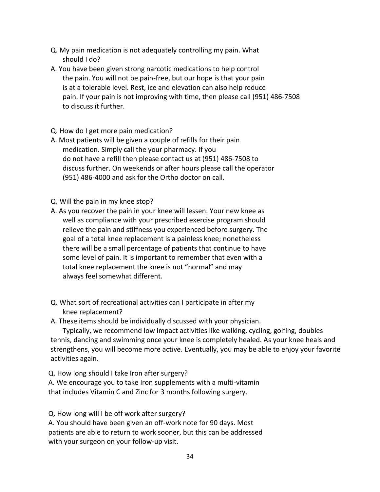- Q. My pain medication is not adequately controlling my pain. What should I do?
- A. You have been given strong narcotic medications to help control the pain. You will not be pain-free, but our hope is that your pain is at a tolerable level. Rest, ice and elevation can also help reduce pain. If your pain is not improving with time, then please call (951) 486-7508 to discuss it further.
- Q. How do I get more pain medication?
- A. Most patients will be given a couple of refills for their pain medication. Simply call the your pharmacy. If you do not have a refill then please contact us at (951) 486-7508 to discuss further. On weekends or after hours please call the operator (951) 486-4000 and ask for the Ortho doctor on call.
- Q. Will the pain in my knee stop?
- A. As you recover the pain in your knee will lessen. Your new knee as well as compliance with your prescribed exercise program should relieve the pain and stiffness you experienced before surgery. The goal of a total knee replacement is a painless knee; nonetheless there will be a small percentage of patients that continue to have some level of pain. It is important to remember that even with a total knee replacement the knee is not "normal" and may always feel somewhat different.
- Q. What sort of recreational activities can I participate in after my knee replacement?
- A. These items should be individually discussed with your physician.

 Typically, we recommend low impact activities like walking, cycling, golfing, doubles tennis, dancing and swimming once your knee is completely healed. As your knee heals and strengthens, you will become more active. Eventually, you may be able to enjoy your favorite activities again.

Q. How long should I take Iron after surgery?

A. We encourage you to take Iron supplements with a multi-vitamin that includes Vitamin C and Zinc for 3 months following surgery.

Q. How long will I be off work after surgery?

A. You should have been given an off-work note for 90 days. Most patients are able to return to work sooner, but this can be addressed with your surgeon on your follow-up visit.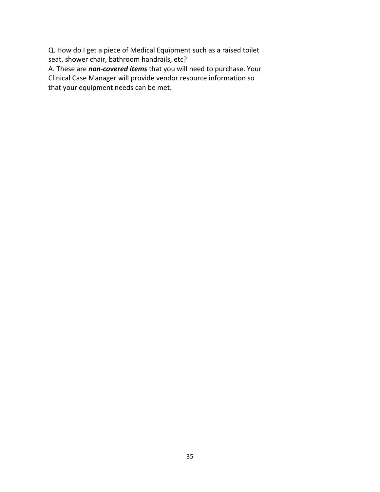Q. How do I get a piece of Medical Equipment such as a raised toilet seat, shower chair, bathroom handrails, etc?

A. These are *non-covered items* that you will need to purchase. Your Clinical Case Manager will provide vendor resource information so that your equipment needs can be met.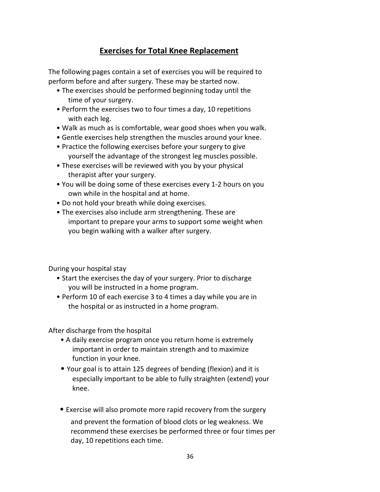#### **Exercises for Total Knee Replacement**

The following pages contain a set of exercises you will be required to perform before and after surgery. These may be started now.

- The exercises should be performed beginning today until the time of your surgery.
- Perform the exercises two to four times a day, 10 repetitions with each leg.
- Walk as much as is comfortable, wear good shoes when you walk.
- Gentle exercises help strengthen the muscles around your knee.
- Practice the following exercises before your surgery to give yourself the advantage of the strongest leg muscles possible.
- These exercises will be reviewed with you by your physical therapist after your surgery.
- You will be doing some of these exercises every 1-2 hours on you own while in the hospital and at home.
- Do not hold your breath while doing exercises.
- The exercises also include arm strengthening. These are important to prepare your arms to support some weight when you begin walking with a walker after surgery.

During your hospital stay

- Start the exercises the day of your surgery. Prior to discharge you will be instructed in a home program.
- Perform 10 of each exercise 3 to 4 times a day while you are in the hospital or as instructed in a home program.

After discharge from the hospital

- A daily exercise program once you return home is extremely important in order to maintain strength and to maximize function in your knee.
- Your goal is to attain 125 degrees of bending (flexion) and it is especially important to be able to fully straighten (extend) your knee.
- Exercise will also promote more rapid recovery from the surgery

and prevent the formation of blood clots or leg weakness. We recommend these exercises be performed three or four times per day, 10 repetitions each time.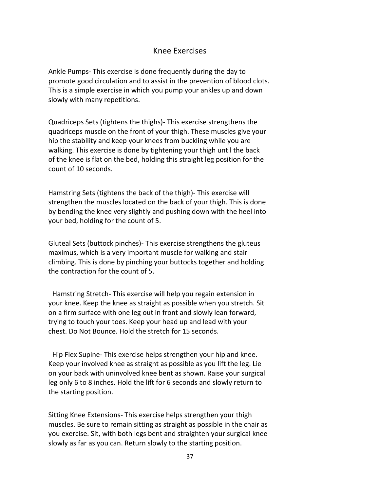#### Knee Exercises

Ankle Pumps- This exercise is done frequently during the day to promote good circulation and to assist in the prevention of blood clots. This is a simple exercise in which you pump your ankles up and down slowly with many repetitions.

Quadriceps Sets (tightens the thighs)- This exercise strengthens the quadriceps muscle on the front of your thigh. These muscles give your hip the stability and keep your knees from buckling while you are walking. This exercise is done by tightening your thigh until the back of the knee is flat on the bed, holding this straight leg position for the count of 10 seconds.

Hamstring Sets (tightens the back of the thigh)- This exercise will strengthen the muscles located on the back of your thigh. This is done by bending the knee very slightly and pushing down with the heel into your bed, holding for the count of 5.

Gluteal Sets (buttock pinches)- This exercise strengthens the gluteus maximus, which is a very important muscle for walking and stair climbing. This is done by pinching your buttocks together and holding the contraction for the count of 5.

Hamstring Stretch- This exercise will help you regain extension in your knee. Keep the knee as straight as possible when you stretch. Sit on a firm surface with one leg out in front and slowly lean forward, trying to touch your toes. Keep your head up and lead with your chest. Do Not Bounce. Hold the stretch for 15 seconds.

Hip Flex Supine- This exercise helps strengthen your hip and knee. Keep your involved knee as straight as possible as you lift the leg. Lie on your back with uninvolved knee bent as shown. Raise your surgical leg only 6 to 8 inches. Hold the lift for 6 seconds and slowly return to the starting position.

Sitting Knee Extensions- This exercise helps strengthen your thigh muscles. Be sure to remain sitting as straight as possible in the chair as you exercise. Sit, with both legs bent and straighten your surgical knee slowly as far as you can. Return slowly to the starting position.